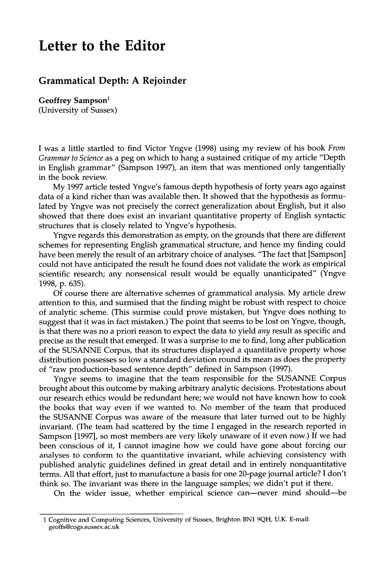## **Letter to the Editor**

## **Grammatical Depth: A Rejoinder**

Geoffrey Sampson<sup>1</sup> **(University of Sussex)** 

I was a little startled to find Victor Yngve (1998) using my review of his book *From Grammar to Science* as a peg on which to hang a sustained critique of my article "Depth in English grammar" (Sampson 1997), an item that was mentioned only tangentially in the book review.

My 1997 article tested Yngve's famous depth hypothesis of forty years ago against data of a kind richer than was available then. It showed that the hypothesis as formulated by Yngve was not precisely the correct generalization about English, but it also showed that there does exist an invariant quantitative property of English syntactic structures that is closely related to Yngve's hypothesis.

Yngve regards this demonstration as empty, on the grounds that there are different schemes for representing English grammatical structure, and hence my finding could have been merely the result of an arbitrary choice of analyses. "The fact that [Sampson] could not have anticipated the result he found does not validate the work as empirical scientific research; any nonsensical result would be equally unanticipated" (Yngve 1998, p. 635).

Of course there are alternative schemes of grammatical analysis. My article drew attention to this, and surmised that the finding might be robust with respect to choice of analytic scheme. (This surmise could prove mistaken, but Yngve does nothing to suggest that it was in fact mistaken.) The point that seems to be lost on Yngve, though, is that there was no a priori reason to expect the data to yield *any* result as specific and precise as the result that emerged. It was a surprise to me to find, long after publication of the SUSANNE Corpus, that its structures displayed a quantitative property whose distribution possesses so low a standard deviation round its mean as does the property of "raw production-based sentence depth" defined in Sampson (1997).

Yngve seems to imagine that the team responsible for the SUSANNE Corpus brought about this outcome by making arbitrary analytic decisions. Protestations about our research ethics would be redundant here; we would not have known how to cook the books that way even if we wanted to. No member of the team that produced the SUSANNE Corpus was aware of the measure that later turned out to be highly invariant. (The team had scattered by the time I engaged in the research reported in Sampson [1997], so most members are very likely unaware of it even now.) If we had been conscious of it, I cannot imagine how we could have gone about forcing our analyses to conform to the quantitative invariant, while achieving consistency with published analytic guidelines defined in great detail and in entirely nonquantitative terms. All that effort, just to manufacture a basis for one 20-page journal article? I don't think so. The invariant was there in the language samples; we didn't put it there.

On the wider issue, whether empirical science can--never mind should--be

<sup>1</sup> Cognitive and Computing Sciences, University of Sussex, Brighton BN1 9QH, U.K. E-mail: geoffs@cogs.sussex.ac.uk